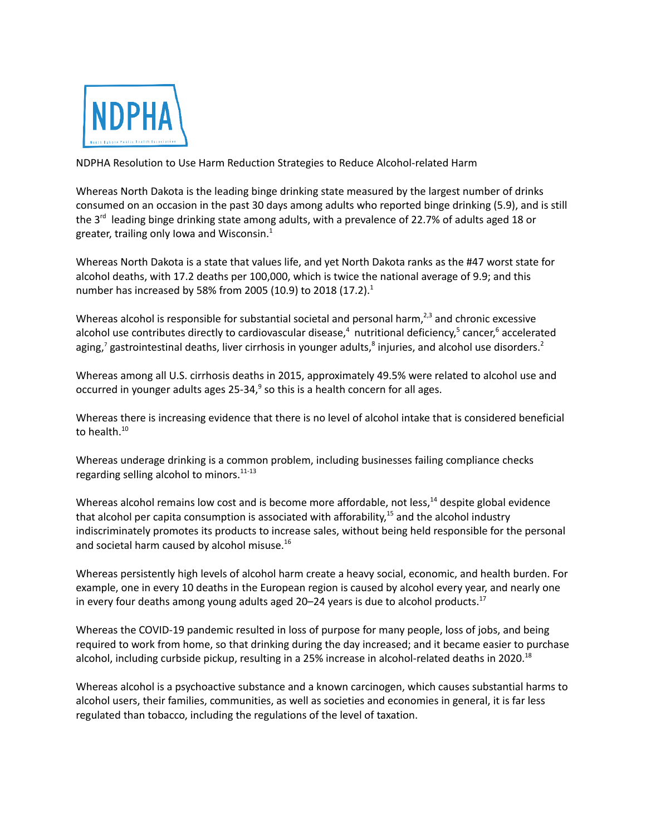

NDPHA Resolution to Use Harm Reduction Strategies to Reduce Alcohol-related Harm

Whereas North Dakota is the leading binge drinking state measured by the largest number of drinks consumed on an occasion in the past 30 days among adults who reported binge drinking (5.9), and is still the 3<sup>rd</sup> leading binge drinking state among adults, with a prevalence of 22.7% of adults aged 18 or greater, trailing only Iowa and Wisconsin.<sup>1</sup>

Whereas North Dakota is a state that values life, and yet North Dakota ranks as the #47 worst state for alcohol deaths, with 17.2 deaths per 100,000, which is twice the national average of 9.9; and this number has increased by 58% from 2005 (10.9) to 2018 (17.2).<sup>1</sup>

Whereas alcohol is responsible for substantial societal and personal harm, $^{2,3}$  and chronic excessive alcohol use contributes directly to cardiovascular disease, <sup>4</sup> nutritional deficiency, <sup>5</sup> cancer, <sup>6</sup> accelerated aging,<sup>7</sup> gastrointestinal deaths, liver cirrhosis in younger adults,<sup>8</sup> injuries, and alcohol use disorders.<sup>2</sup>

Whereas among all U.S. cirrhosis deaths in 2015, approximately 49.5% were related to alcohol use and occurred in younger adults ages 25-34,<sup>9</sup> so this is a health concern for all ages.

Whereas there is increasing evidence that there is no level of alcohol intake that is considered beneficial to health.<sup>10</sup>

Whereas underage drinking is a common problem, including businesses failing compliance checks regarding selling alcohol to minors.<sup>11-13</sup>

Whereas alcohol remains low cost and is become more affordable, not less,<sup>14</sup> despite global evidence that alcohol per capita consumption is associated with afforability,<sup>15</sup> and the alcohol industry indiscriminately promotes its products to increase sales, without being held responsible for the personal and societal harm caused by alcohol misuse. 16

Whereas persistently high levels of alcohol harm create a heavy social, economic, and health burden. For example, one in every 10 deaths in the European region is caused by alcohol every year, and nearly one in every four deaths among young adults aged 20–24 years is due to alcohol products.<sup>17</sup>

Whereas the COVID-19 pandemic resulted in loss of purpose for many people, loss of jobs, and being required to work from home, so that drinking during the day increased; and it became easier to purchase alcohol, including curbside pickup, resulting in a 25% increase in alcohol-related deaths in 2020.<sup>18</sup>

Whereas alcohol is a psychoactive substance and a known carcinogen, which causes substantial harms to alcohol users, their families, communities, as well as societies and economies in general, it is far less regulated than tobacco, including the regulations of the level of taxation.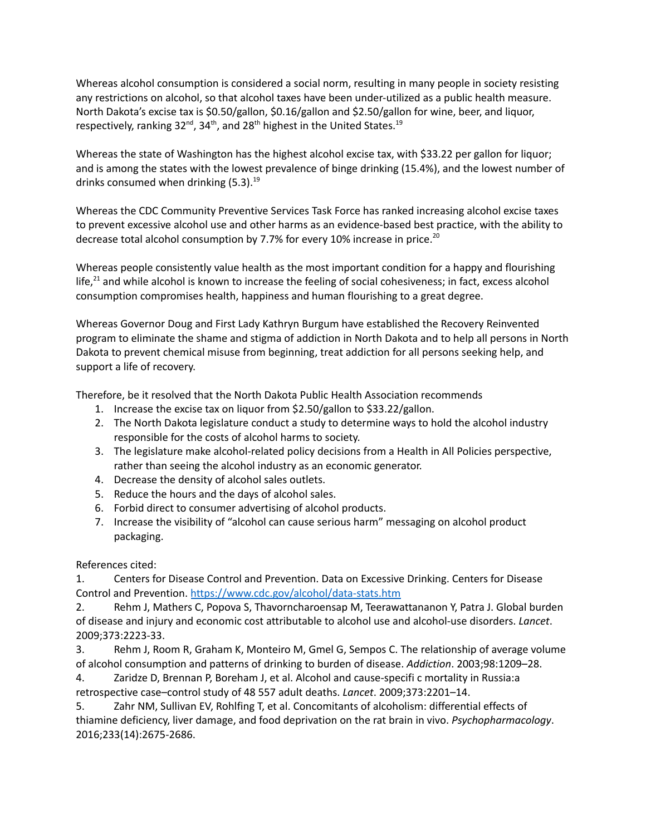Whereas alcohol consumption is considered a social norm, resulting in many people in society resisting any restrictions on alcohol, so that alcohol taxes have been under-utilized as a public health measure. North Dakota's excise tax is \$0.50/gallon, \$0.16/gallon and \$2.50/gallon for wine, beer, and liquor, respectively, ranking 32<sup>nd</sup>, 34<sup>th</sup>, and 28<sup>th</sup> highest in the United States.<sup>19</sup>

Whereas the state of Washington has the highest alcohol excise tax, with \$33.22 per gallon for liquor; and is among the states with the lowest prevalence of binge drinking (15.4%), and the lowest number of drinks consumed when drinking (5.3). 19

Whereas the CDC Community Preventive Services Task Force has ranked increasing alcohol excise taxes to prevent excessive alcohol use and other harms as an evidence-based best practice, with the ability to decrease total alcohol consumption by 7.7% for every 10% increase in price.<sup>20</sup>

Whereas people consistently value health as the most important condition for a happy and flourishing life,<sup>21</sup> and while alcohol is known to increase the feeling of social cohesiveness; in fact, excess alcohol consumption compromises health, happiness and human flourishing to a great degree.

Whereas Governor Doug and First Lady Kathryn Burgum have established the Recovery Reinvented program to eliminate the shame and stigma of addiction in North Dakota and to help all persons in North Dakota to prevent chemical misuse from beginning, treat addiction for all persons seeking help, and support a life of recovery.

Therefore, be it resolved that the North Dakota Public Health Association recommends

- 1. Increase the excise tax on liquor from \$2.50/gallon to \$33.22/gallon.
- 2. The North Dakota legislature conduct a study to determine ways to hold the alcohol industry responsible for the costs of alcohol harms to society.
- 3. The legislature make alcohol-related policy decisions from a Health in All Policies perspective, rather than seeing the alcohol industry as an economic generator.
- 4. Decrease the density of alcohol sales outlets.
- 5. Reduce the hours and the days of alcohol sales.
- 6. Forbid direct to consumer advertising of alcohol products.
- 7. Increase the visibility of "alcohol can cause serious harm" messaging on alcohol product packaging.

References cited:

1. Centers for Disease Control and Prevention. Data on Excessive Drinking. Centers for Disease Control and Prevention. <https://www.cdc.gov/alcohol/data-stats.htm>

2. Rehm J, Mathers C, Popova S, Thavorncharoensap M, Teerawattananon Y, Patra J. Global burden of disease and injury and economic cost attributable to alcohol use and alcohol-use disorders. *Lancet*. 2009;373:2223-33.

3. Rehm J, Room R, Graham K, Monteiro M, Gmel G, Sempos C. The relationship of average volume of alcohol consumption and patterns of drinking to burden of disease. *Addiction*. 2003;98:1209–28.

4. Zaridze D, Brennan P, Boreham J, et al. Alcohol and cause-specifi c mortality in Russia:a

retrospective case–control study of 48 557 adult deaths. *Lancet*. 2009;373:2201–14.

5. Zahr NM, Sullivan EV, Rohlfing T, et al. Concomitants of alcoholism: differential effects of thiamine deficiency, liver damage, and food deprivation on the rat brain in vivo. *Psychopharmacology*. 2016;233(14):2675-2686.